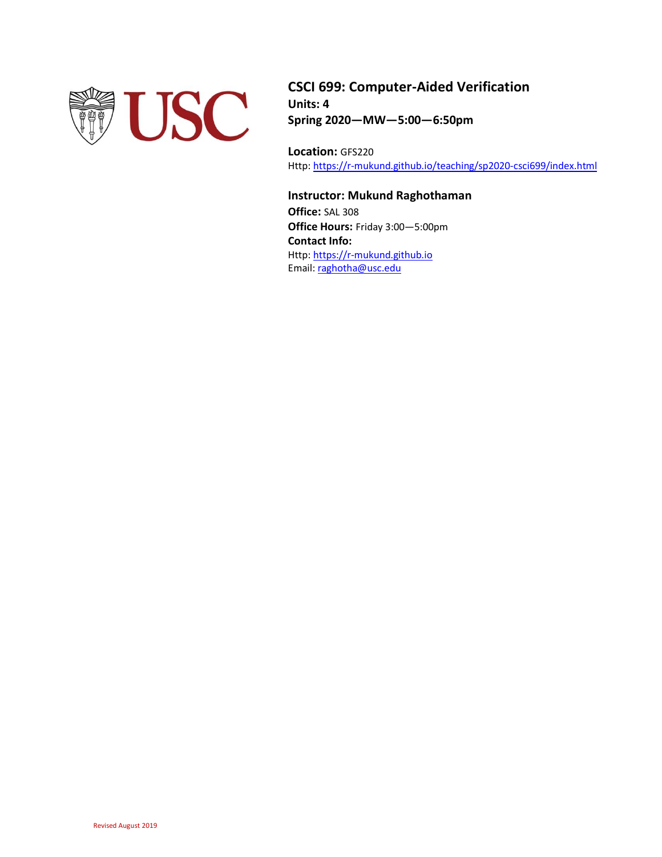

**CSCI 699: Computer-Aided Verification Units: 4 Spring 2020—MW—5:00—6:50pm**

**Location:** GFS220 Http[: https://r-mukund.github.io/teaching/sp2020-csci699/index.html](https://r-mukund.github.io/teaching/sp2020-csci699/index.html)

# **Instructor: Mukund Raghothaman**

**Office:** SAL 308 **Office Hours:** Friday 3:00—5:00pm **Contact Info:** Http[: https://r-mukund.github.io](https://r-mukund.github.io/) Email[: raghotha@usc.edu](mailto:raghotha@usc.edu)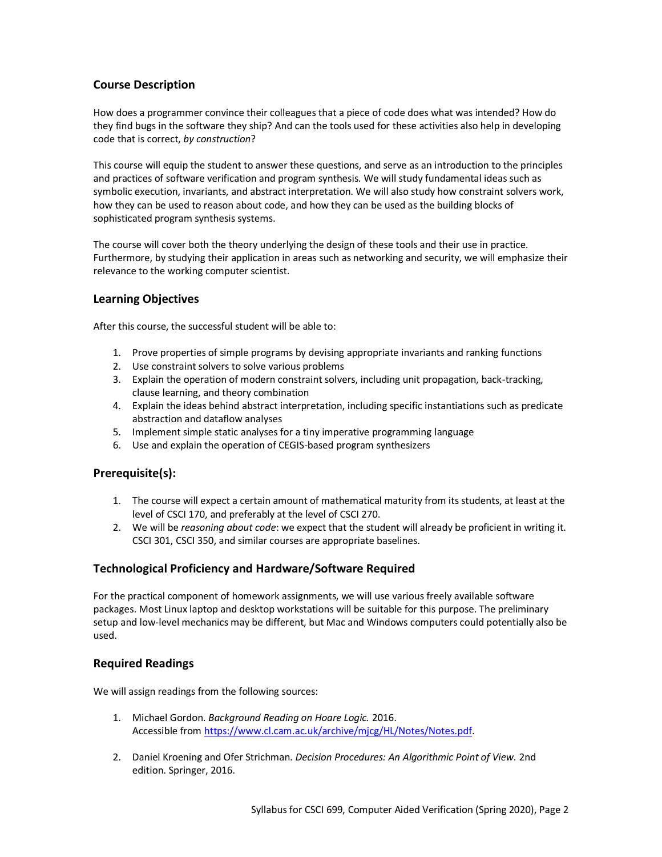# **Course Description**

How does a programmer convince their colleagues that a piece of code does what was intended? How do they find bugs in the software they ship? And can the tools used for these activities also help in developing code that is correct, *by construction*?

This course will equip the student to answer these questions, and serve as an introduction to the principles and practices of software verification and program synthesis. We will study fundamental ideas such as symbolic execution, invariants, and abstract interpretation. We will also study how constraint solvers work, how they can be used to reason about code, and how they can be used as the building blocks of sophisticated program synthesis systems.

The course will cover both the theory underlying the design of these tools and their use in practice. Furthermore, by studying their application in areas such as networking and security, we will emphasize their relevance to the working computer scientist.

# **Learning Objectives**

After this course, the successful student will be able to:

- 1. Prove properties of simple programs by devising appropriate invariants and ranking functions
- 2. Use constraint solvers to solve various problems
- 3. Explain the operation of modern constraint solvers, including unit propagation, back-tracking, clause learning, and theory combination
- 4. Explain the ideas behind abstract interpretation, including specific instantiations such as predicate abstraction and dataflow analyses
- 5. Implement simple static analyses for a tiny imperative programming language
- 6. Use and explain the operation of CEGIS-based program synthesizers

# **Prerequisite(s):**

- 1. The course will expect a certain amount of mathematical maturity from its students, at least at the level of CSCI 170, and preferably at the level of CSCI 270.
- 2. We will be *reasoning about code*: we expect that the student will already be proficient in writing it. CSCI 301, CSCI 350, and similar courses are appropriate baselines.

# **Technological Proficiency and Hardware/Software Required**

For the practical component of homework assignments, we will use various freely available software packages. Most Linux laptop and desktop workstations will be suitable for this purpose. The preliminary setup and low-level mechanics may be different, but Mac and Windows computers could potentially also be used.

# **Required Readings**

We will assign readings from the following sources:

- 1. Michael Gordon. *Background Reading on Hoare Logic.* 2016. Accessible fro[m https://www.cl.cam.ac.uk/archive/mjcg/HL/Notes/Notes.pdf.](https://www.cl.cam.ac.uk/archive/mjcg/HL/Notes/Notes.pdf)
- 2. Daniel Kroening and Ofer Strichman. *Decision Procedures: An Algorithmic Point of View.* 2nd edition. Springer, 2016.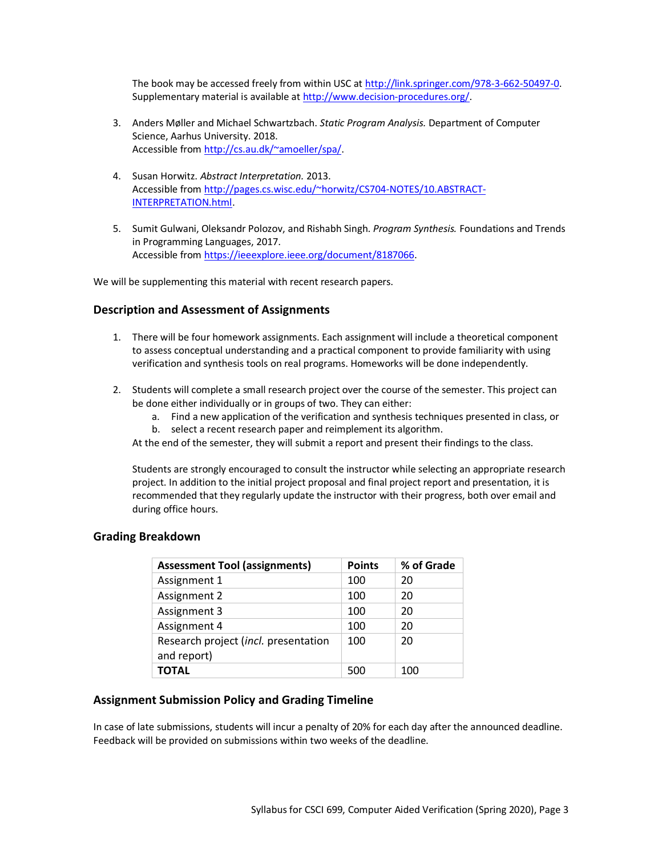The book may be accessed freely from within USC a[t http://link.springer.com/978-3-662-50497-0.](http://link.springer.com/978-3-662-50497-0) Supplementary material is available at [http://www.decision-procedures.org/.](http://www.decision-procedures.org/)

- 3. Anders Møller and Michael Schwartzbach. *Static Program Analysis.* Department of Computer Science, Aarhus University. 2018. Accessible fro[m http://cs.au.dk/~amoeller/spa/.](http://cs.au.dk/~amoeller/spa/)
- 4. Susan Horwitz. *Abstract Interpretation.* 2013. Accessible from [http://pages.cs.wisc.edu/~horwitz/CS704-NOTES/10.ABSTRACT-](http://pages.cs.wisc.edu/~horwitz/CS704-NOTES/10.ABSTRACT-INTERPRETATION.html)[INTERPRETATION.html.](http://pages.cs.wisc.edu/~horwitz/CS704-NOTES/10.ABSTRACT-INTERPRETATION.html)
- 5. Sumit Gulwani, Oleksandr Polozov, and Rishabh Singh. *Program Synthesis.* Foundations and Trends in Programming Languages, 2017. Accessible from [https://ieeexplore.ieee.org/document/8187066.](https://ieeexplore.ieee.org/document/8187066)

We will be supplementing this material with recent research papers.

# **Description and Assessment of Assignments**

- 1. There will be four homework assignments. Each assignment will include a theoretical component to assess conceptual understanding and a practical component to provide familiarity with using verification and synthesis tools on real programs. Homeworks will be done independently.
- 2. Students will complete a small research project over the course of the semester. This project can be done either individually or in groups of two. They can either:
	- a. Find a new application of the verification and synthesis techniques presented in class, or b. select a recent research paper and reimplement its algorithm.
	- At the end of the semester, they will submit a report and present their findings to the class.

Students are strongly encouraged to consult the instructor while selecting an appropriate research project. In addition to the initial project proposal and final project report and presentation, it is recommended that they regularly update the instructor with their progress, both over email and during office hours.

| <b>Assessment Tool (assignments)</b>                | <b>Points</b> | % of Grade |
|-----------------------------------------------------|---------------|------------|
| Assignment 1                                        | 100           | 20         |
| Assignment 2                                        | 100           | 20         |
| Assignment 3                                        | 100           | 20         |
| Assignment 4                                        | 100           | 20         |
| Research project (incl. presentation<br>and report) | 100           | 20         |
| ΤΟΤΑL                                               | 500           | 100        |

# **Grading Breakdown**

### **Assignment Submission Policy and Grading Timeline**

In case of late submissions, students will incur a penalty of 20% for each day after the announced deadline. Feedback will be provided on submissions within two weeks of the deadline.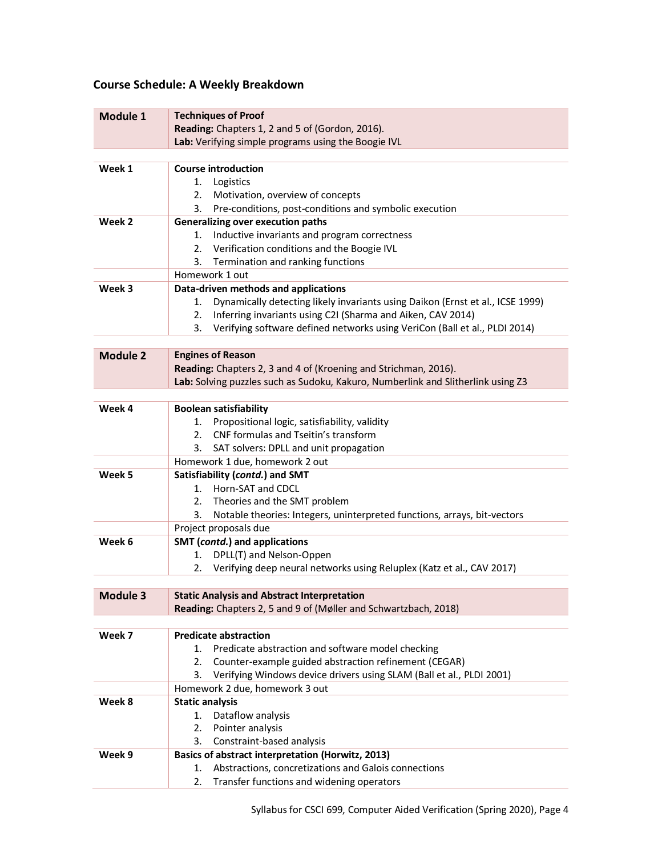# **Course Schedule: A Weekly Breakdown**

| Module 1        | <b>Techniques of Proof</b>                                                           |
|-----------------|--------------------------------------------------------------------------------------|
|                 | Reading: Chapters 1, 2 and 5 of (Gordon, 2016).                                      |
|                 | Lab: Verifying simple programs using the Boogie IVL                                  |
|                 |                                                                                      |
| Week 1          | <b>Course introduction</b>                                                           |
|                 | 1.<br>Logistics                                                                      |
|                 | Motivation, overview of concepts<br>2.                                               |
|                 | Pre-conditions, post-conditions and symbolic execution<br>3.                         |
| Week 2          | <b>Generalizing over execution paths</b>                                             |
|                 | 1. Inductive invariants and program correctness                                      |
|                 | 2. Verification conditions and the Boogie IVL                                        |
|                 | 3. Termination and ranking functions                                                 |
|                 | Homework 1 out                                                                       |
| Week 3          | Data-driven methods and applications                                                 |
|                 | Dynamically detecting likely invariants using Daikon (Ernst et al., ICSE 1999)<br>1. |
|                 | Inferring invariants using C2I (Sharma and Aiken, CAV 2014)<br>2.                    |
|                 | Verifying software defined networks using VeriCon (Ball et al., PLDI 2014)<br>3.     |
|                 |                                                                                      |
| <b>Module 2</b> | <b>Engines of Reason</b>                                                             |
|                 | Reading: Chapters 2, 3 and 4 of (Kroening and Strichman, 2016).                      |
|                 | Lab: Solving puzzles such as Sudoku, Kakuro, Numberlink and Slitherlink using Z3     |
|                 |                                                                                      |
| Week 4          | <b>Boolean satisfiability</b>                                                        |
|                 | Propositional logic, satisfiability, validity<br>1.                                  |
|                 | CNF formulas and Tseitin's transform<br>2.                                           |
|                 | 3.<br>SAT solvers: DPLL and unit propagation                                         |
|                 | Homework 1 due, homework 2 out                                                       |
| Week 5          | Satisfiability (contd.) and SMT                                                      |
|                 | 1. Horn-SAT and CDCL                                                                 |
|                 | 2. Theories and the SMT problem                                                      |
|                 | Notable theories: Integers, uninterpreted functions, arrays, bit-vectors<br>3.       |
|                 | Project proposals due                                                                |
| Week 6          | SMT (contd.) and applications                                                        |
|                 | DPLL(T) and Nelson-Oppen<br>1.                                                       |
|                 | Verifying deep neural networks using Reluplex (Katz et al., CAV 2017)<br>2.          |
|                 |                                                                                      |
| Module 3        | <b>Static Analysis and Abstract Interpretation</b>                                   |
|                 | Reading: Chapters 2, 5 and 9 of (Møller and Schwartzbach, 2018)                      |
|                 |                                                                                      |
| Week 7          | <b>Predicate abstraction</b>                                                         |
|                 | Predicate abstraction and software model checking<br>1.                              |
|                 | Counter-example guided abstraction refinement (CEGAR)<br>2.                          |
|                 | Verifying Windows device drivers using SLAM (Ball et al., PLDI 2001)<br>3.           |
|                 | Homework 2 due, homework 3 out                                                       |
| Week 8          | <b>Static analysis</b>                                                               |
|                 | Dataflow analysis<br>1.                                                              |
|                 | Pointer analysis<br>2.                                                               |
|                 | 3.<br>Constraint-based analysis                                                      |
| Week 9          | Basics of abstract interpretation (Horwitz, 2013)                                    |
|                 | Abstractions, concretizations and Galois connections<br>1.                           |
|                 | Transfer functions and widening operators<br>2.                                      |
|                 |                                                                                      |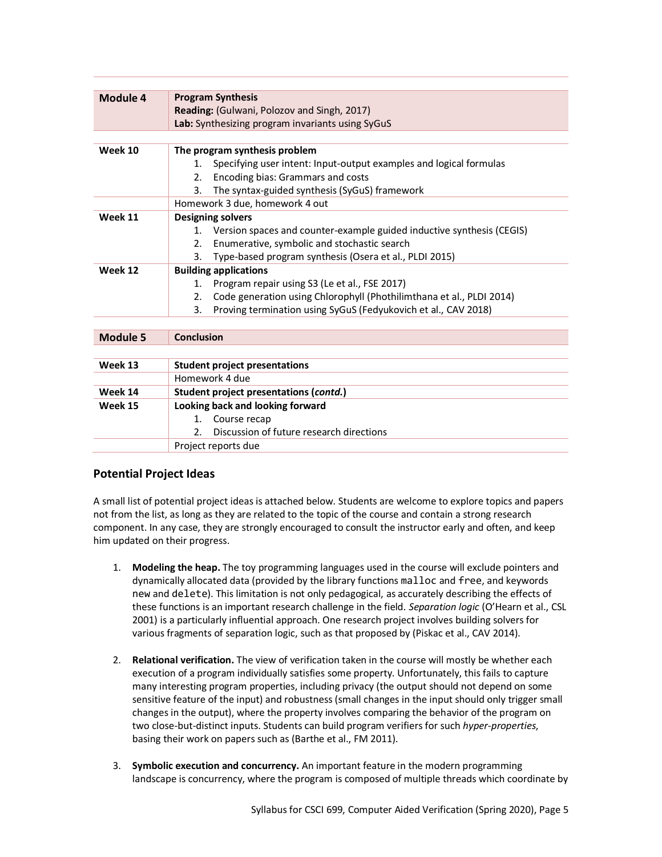| <b>Program Synthesis</b><br>Module 4<br>Reading: (Gulwani, Polozov and Singh, 2017)<br>Lab: Synthesizing program invariants using SyGuS<br>The program synthesis problem<br>Week 10<br>Specifying user intent: Input-output examples and logical formulas<br>$\mathbf{1}$ .<br>Encoding bias: Grammars and costs<br>2.<br>The syntax-guided synthesis (SyGuS) framework<br>3.<br>Homework 3 due, homework 4 out<br>Week 11<br><b>Designing solvers</b><br>1. Version spaces and counter-example guided inductive synthesis (CEGIS)<br>Enumerative, symbolic and stochastic search<br>2.<br>3.<br>Type-based program synthesis (Osera et al., PLDI 2015)<br>Week 12<br><b>Building applications</b><br>Program repair using S3 (Le et al., FSE 2017)<br>1.<br>Code generation using Chlorophyll (Phothilimthana et al., PLDI 2014)<br>2.<br>Proving termination using SyGuS (Fedyukovich et al., CAV 2018)<br>3.<br><b>Conclusion</b><br>Module 5 |
|--------------------------------------------------------------------------------------------------------------------------------------------------------------------------------------------------------------------------------------------------------------------------------------------------------------------------------------------------------------------------------------------------------------------------------------------------------------------------------------------------------------------------------------------------------------------------------------------------------------------------------------------------------------------------------------------------------------------------------------------------------------------------------------------------------------------------------------------------------------------------------------------------------------------------------------------------|
|                                                                                                                                                                                                                                                                                                                                                                                                                                                                                                                                                                                                                                                                                                                                                                                                                                                                                                                                                  |
|                                                                                                                                                                                                                                                                                                                                                                                                                                                                                                                                                                                                                                                                                                                                                                                                                                                                                                                                                  |
|                                                                                                                                                                                                                                                                                                                                                                                                                                                                                                                                                                                                                                                                                                                                                                                                                                                                                                                                                  |
|                                                                                                                                                                                                                                                                                                                                                                                                                                                                                                                                                                                                                                                                                                                                                                                                                                                                                                                                                  |
|                                                                                                                                                                                                                                                                                                                                                                                                                                                                                                                                                                                                                                                                                                                                                                                                                                                                                                                                                  |
|                                                                                                                                                                                                                                                                                                                                                                                                                                                                                                                                                                                                                                                                                                                                                                                                                                                                                                                                                  |
|                                                                                                                                                                                                                                                                                                                                                                                                                                                                                                                                                                                                                                                                                                                                                                                                                                                                                                                                                  |
|                                                                                                                                                                                                                                                                                                                                                                                                                                                                                                                                                                                                                                                                                                                                                                                                                                                                                                                                                  |
|                                                                                                                                                                                                                                                                                                                                                                                                                                                                                                                                                                                                                                                                                                                                                                                                                                                                                                                                                  |
|                                                                                                                                                                                                                                                                                                                                                                                                                                                                                                                                                                                                                                                                                                                                                                                                                                                                                                                                                  |
|                                                                                                                                                                                                                                                                                                                                                                                                                                                                                                                                                                                                                                                                                                                                                                                                                                                                                                                                                  |
|                                                                                                                                                                                                                                                                                                                                                                                                                                                                                                                                                                                                                                                                                                                                                                                                                                                                                                                                                  |
|                                                                                                                                                                                                                                                                                                                                                                                                                                                                                                                                                                                                                                                                                                                                                                                                                                                                                                                                                  |
|                                                                                                                                                                                                                                                                                                                                                                                                                                                                                                                                                                                                                                                                                                                                                                                                                                                                                                                                                  |
|                                                                                                                                                                                                                                                                                                                                                                                                                                                                                                                                                                                                                                                                                                                                                                                                                                                                                                                                                  |
|                                                                                                                                                                                                                                                                                                                                                                                                                                                                                                                                                                                                                                                                                                                                                                                                                                                                                                                                                  |
|                                                                                                                                                                                                                                                                                                                                                                                                                                                                                                                                                                                                                                                                                                                                                                                                                                                                                                                                                  |
|                                                                                                                                                                                                                                                                                                                                                                                                                                                                                                                                                                                                                                                                                                                                                                                                                                                                                                                                                  |
|                                                                                                                                                                                                                                                                                                                                                                                                                                                                                                                                                                                                                                                                                                                                                                                                                                                                                                                                                  |
|                                                                                                                                                                                                                                                                                                                                                                                                                                                                                                                                                                                                                                                                                                                                                                                                                                                                                                                                                  |
| Week 13<br><b>Student project presentations</b>                                                                                                                                                                                                                                                                                                                                                                                                                                                                                                                                                                                                                                                                                                                                                                                                                                                                                                  |
| Homework 4 due                                                                                                                                                                                                                                                                                                                                                                                                                                                                                                                                                                                                                                                                                                                                                                                                                                                                                                                                   |
| Student project presentations (contd.)<br>Week 14                                                                                                                                                                                                                                                                                                                                                                                                                                                                                                                                                                                                                                                                                                                                                                                                                                                                                                |
| Looking back and looking forward<br>Week 15                                                                                                                                                                                                                                                                                                                                                                                                                                                                                                                                                                                                                                                                                                                                                                                                                                                                                                      |
| 1. Course recap                                                                                                                                                                                                                                                                                                                                                                                                                                                                                                                                                                                                                                                                                                                                                                                                                                                                                                                                  |
| Discussion of future research directions<br>2.                                                                                                                                                                                                                                                                                                                                                                                                                                                                                                                                                                                                                                                                                                                                                                                                                                                                                                   |
| Project reports due                                                                                                                                                                                                                                                                                                                                                                                                                                                                                                                                                                                                                                                                                                                                                                                                                                                                                                                              |

# **Potential Project Ideas**

A small list of potential project ideas is attached below. Students are welcome to explore topics and papers not from the list, as long as they are related to the topic of the course and contain a strong research component. In any case, they are strongly encouraged to consult the instructor early and often, and keep him updated on their progress.

- 1. **Modeling the heap.** The toy programming languages used in the course will exclude pointers and dynamically allocated data (provided by the library functions malloc and free, and keywords new and delete). This limitation is not only pedagogical, as accurately describing the effects of these functions is an important research challenge in the field. *Separation logic* (O'Hearn et al., CSL 2001) is a particularly influential approach. One research project involves building solvers for various fragments of separation logic, such as that proposed by (Piskac et al., CAV 2014).
- 2. **Relational verification.** The view of verification taken in the course will mostly be whether each execution of a program individually satisfies some property. Unfortunately, this fails to capture many interesting program properties, including privacy (the output should not depend on some sensitive feature of the input) and robustness (small changes in the input should only trigger small changes in the output), where the property involves comparing the behavior of the program on two close-but-distinct inputs. Students can build program verifiers for such *hyper-properties*, basing their work on papers such as (Barthe et al., FM 2011).
- 3. **Symbolic execution and concurrency.** An important feature in the modern programming landscape is concurrency, where the program is composed of multiple threads which coordinate by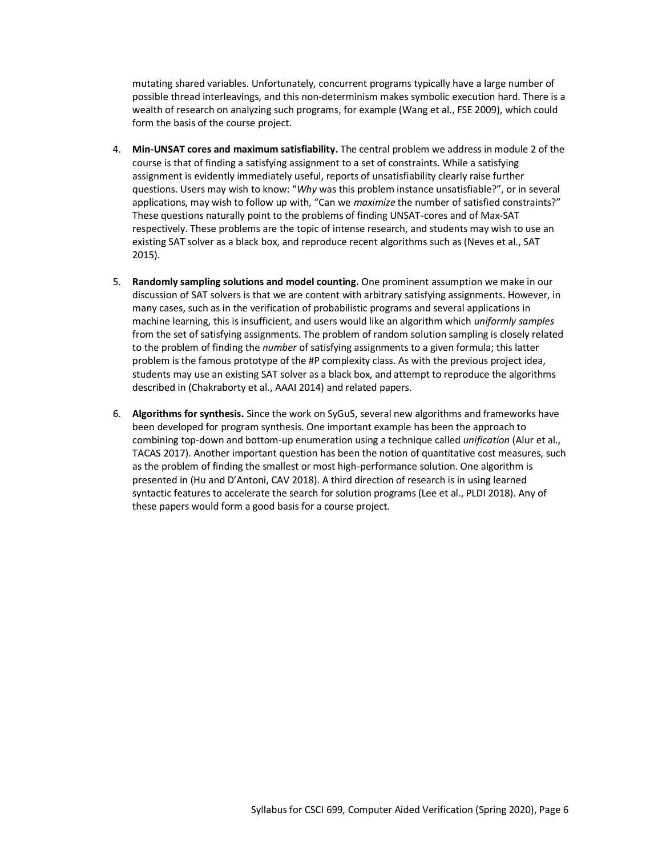mutating shared variables. Unfortunately, concurrent programs typically have a large number of possible thread interleavings, and this non-determinism makes symbolic execution hard. There is a wealth of research on analyzing such programs, for example (Wang et al., FSE 2009), which could form the basis of the course project.

- 4. **Min-UNSAT cores and maximum satisfiability.** The central problem we address in module 2 of the course is that of finding a satisfying assignment to a set of constraints. While a satisfying assignment is evidently immediately useful, reports of unsatisfiability clearly raise further questions. Users may wish to know: "*Why* was this problem instance unsatisfiable?", or in several applications, may wish to follow up with, "Can we *maximize* the number of satisfied constraints?" These questions naturally point to the problems of finding UNSAT-cores and of Max-SAT respectively. These problems are the topic of intense research, and students may wish to use an existing SAT solver as a black box, and reproduce recent algorithms such as (Neves et al., SAT 2015).
- 5. **Randomly sampling solutions and model counting.** One prominent assumption we make in our discussion of SAT solvers is that we are content with arbitrary satisfying assignments. However, in many cases, such as in the verification of probabilistic programs and several applications in machine learning, this is insufficient, and users would like an algorithm which *uniformly samples* from the set of satisfying assignments. The problem of random solution sampling is closely related to the problem of finding the *number* of satisfying assignments to a given formula; this latter problem is the famous prototype of the #P complexity class. As with the previous project idea, students may use an existing SAT solver as a black box, and attempt to reproduce the algorithms described in (Chakraborty et al., AAAI 2014) and related papers.
- 6. **Algorithms for synthesis.** Since the work on SyGuS, several new algorithms and frameworks have been developed for program synthesis. One important example has been the approach to combining top-down and bottom-up enumeration using a technique called *unification* (Alur et al., TACAS 2017). Another important question has been the notion of quantitative cost measures, such as the problem of finding the smallest or most high-performance solution. One algorithm is presented in (Hu and D'Antoni, CAV 2018). A third direction of research is in using learned syntactic features to accelerate the search for solution programs (Lee et al., PLDI 2018). Any of these papers would form a good basis for a course project.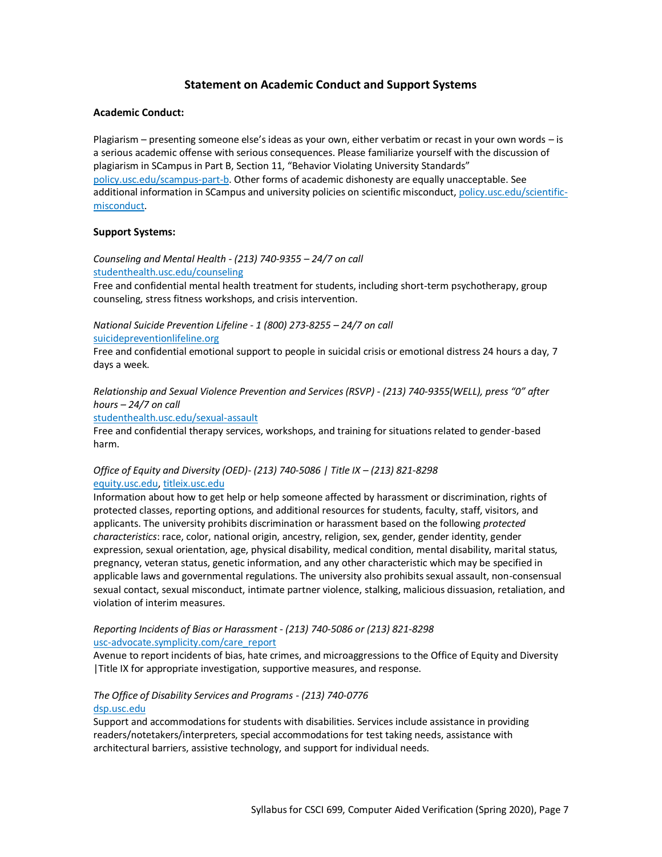# **Statement on Academic Conduct and Support Systems**

### **Academic Conduct:**

Plagiarism – presenting someone else's ideas as your own, either verbatim or recast in your own words – is a serious academic offense with serious consequences. Please familiarize yourself with the discussion of plagiarism in SCampus in Part B, Section 11, "Behavior Violating University Standards" [policy.usc.edu/scampus-part-b.](https://policy.usc.edu/scampus-part-b/) Other forms of academic dishonesty are equally unacceptable. See additional information in SCampus and university policies on scientific misconduct[, policy.usc.edu/scientific](http://policy.usc.edu/scientific-misconduct)[misconduct.](http://policy.usc.edu/scientific-misconduct)

### **Support Systems:**

*Counseling and Mental Health - (213) 740-9355 – 24/7 on call* [studenthealth.usc.edu/counseling](https://studenthealth.usc.edu/counseling/)

Free and confidential mental health treatment for students, including short-term psychotherapy, group counseling, stress fitness workshops, and crisis intervention.

*National Suicide Prevention Lifeline - 1 (800) 273-8255 – 24/7 on call*

[suicidepreventionlifeline.org](http://www.suicidepreventionlifeline.org/)

Free and confidential emotional support to people in suicidal crisis or emotional distress 24 hours a day, 7 days a week.

*Relationship and Sexual Violence Prevention and Services (RSVP) - (213) 740-9355(WELL), press "0" after hours – 24/7 on call*

[studenthealth.usc.edu/sexual-assault](https://studenthealth.usc.edu/sexual-assault/)

Free and confidential therapy services, workshops, and training for situations related to gender-based har[m.](https://engemannshc.usc.edu/rsvp/)

### *Office of Equity and Diversity (OED)- (213) 740-5086 | Title IX – (213) 821-8298* [equity.usc.edu,](https://equity.usc.edu/) [titleix.usc.edu](http://titleix.usc.edu/)

Information about how to get help or help someone affected by harassment or discrimination, rights of protected classes, reporting options, and additional resources for students, faculty, staff, visitors, and applicants. The university prohibits discrimination or harassment based on the following *protected characteristics*: race, color, national origin, ancestry, religion, sex, gender, gender identity, gender expression, sexual orientation, age, physical disability, medical condition, mental disability, marital status, pregnancy, veteran status, genetic information, and any other characteristic which may be specified in applicable laws and governmental regulations. The university also prohibits sexual assault, non-consensual sexual contact, sexual misconduct, intimate partner violence, stalking, malicious dissuasion, retaliation, and violation of interim measures.

### *Reporting Incidents of Bias or Harassment - (213) 740-5086 or (213) 821-8298* [usc-advocate.symplicity.com/care\\_report](https://usc-advocate.symplicity.com/care_report/)

Avenue to report incidents of bias, hate crimes, and microaggressions to the Office of Equity and Diversity |Title IX for appropriate investigation, supportive measures, and respons[e.](https://studentaffairs.usc.edu/bias-assessment-response-support/)

### *The Office of Disability Services and Programs - (213) 740-0776* [dsp.usc.edu](http://dsp.usc.edu/)

Support and accommodations for students with disabilities. Services include assistance in providing readers/notetakers/interpreters, special accommodations for test taking needs, assistance with [arc](http://dsp.usc.edu/)hitectural barriers, assistive technology, and support for individual needs.